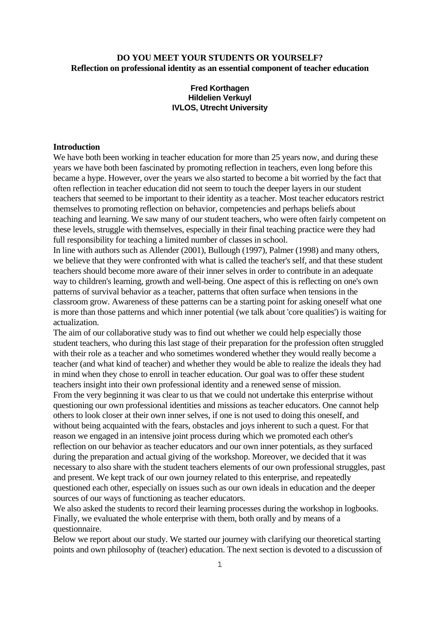# **DO YOU MEET YOUR STUDENTS OR YOURSELF? Reflection on professional identity as an essential component of teacher education**

# **Fred Korthagen Hildelien Verkuyl IVLOS, Utrecht University**

### **Introduction**

We have both been working in teacher education for more than 25 years now, and during these years we have both been fascinated by promoting reflection in teachers, even long before this became a hype. However, over the years we also started to become a bit worried by the fact that often reflection in teacher education did not seem to touch the deeper layers in our student teachers that seemed to be important to their identity as a teacher. Most teacher educators restrict themselves to promoting reflection on behavior, competencies and perhaps beliefs about teaching and learning. We saw many of our student teachers, who were often fairly competent on these levels, struggle with themselves, especially in their final teaching practice were they had full responsibility for teaching a limited number of classes in school.

In line with authors such as Allender (2001), Bullough (1997), Palmer (1998) and many others, we believe that they were confronted with what is called the teacher's self, and that these student teachers should become more aware of their inner selves in order to contribute in an adequate way to children's learning, growth and well-being. One aspect of this is reflecting on one's own patterns of survival behavior as a teacher, patterns that often surface when tensions in the classroom grow. Awareness of these patterns can be a starting point for asking oneself what one is more than those patterns and which inner potential (we talk about 'core qualities') is waiting for actualization.

The aim of our collaborative study was to find out whether we could help especially those student teachers, who during this last stage of their preparation for the profession often struggled with their role as a teacher and who sometimes wondered whether they would really become a teacher (and what kind of teacher) and whether they would be able to realize the ideals they had in mind when they chose to enroll in teacher education. Our goal was to offer these student teachers insight into their own professional identity and a renewed sense of mission. From the very beginning it was clear to us that we could not undertake this enterprise without questioning our own professional identities and missions as teacher educators. One cannot help others to look closer at their own inner selves, if one is not used to doing this oneself, and without being acquainted with the fears, obstacles and joys inherent to such a quest. For that reason we engaged in an intensive joint process during which we promoted each other's reflection on our behavior as teacher educators and our own inner potentials, as they surfaced during the preparation and actual giving of the workshop. Moreover, we decided that it was necessary to also share with the student teachers elements of our own professional struggles, past and present. We kept track of our own journey related to this enterprise, and repeatedly questioned each other, especially on issues such as our own ideals in education and the deeper sources of our ways of functioning as teacher educators.

We also asked the students to record their learning processes during the workshop in logbooks. Finally, we evaluated the whole enterprise with them, both orally and by means of a questionnaire.

Below we report about our study. We started our journey with clarifying our theoretical starting points and own philosophy of (teacher) education. The next section is devoted to a discussion of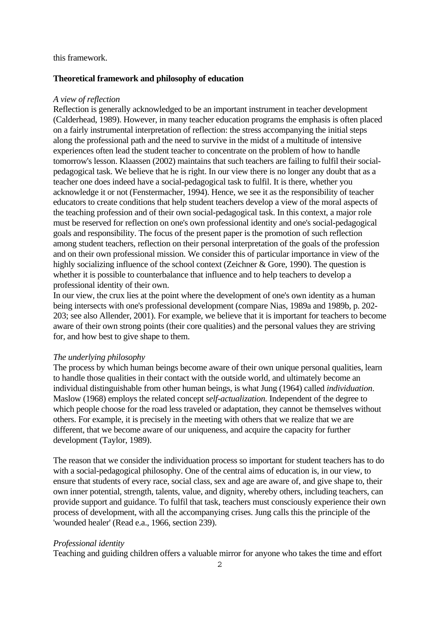### this framework.

### **Theoretical framework and philosophy of education**

### *A view of reflection*

Reflection is generally acknowledged to be an important instrument in teacher development (Calderhead, 1989). However, in many teacher education programs the emphasis is often placed on a fairly instrumental interpretation of reflection: the stress accompanying the initial steps along the professional path and the need to survive in the midst of a multitude of intensive experiences often lead the student teacher to concentrate on the problem of how to handle tomorrow's lesson. Klaassen (2002) maintains that such teachers are failing to fulfil their socialpedagogical task. We believe that he is right. In our view there is no longer any doubt that as a teacher one does indeed have a social-pedagogical task to fulfil. It is there, whether you acknowledge it or not (Fenstermacher, 1994). Hence, we see it as the responsibility of teacher educators to create conditions that help student teachers develop a view of the moral aspects of the teaching profession and of their own social-pedagogical task. In this context, a major role must be reserved for reflection on one's own professional identity and one's social-pedagogical goals and responsibility. The focus of the present paper is the promotion of such reflection among student teachers, reflection on their personal interpretation of the goals of the profession and on their own professional mission. We consider this of particular importance in view of the highly socializing influence of the school context (Zeichner & Gore, 1990). The question is whether it is possible to counterbalance that influence and to help teachers to develop a professional identity of their own.

In our view, the crux lies at the point where the development of one's own identity as a human being intersects with one's professional development (compare Nias, 1989a and 1989b, p. 202- 203; see also Allender, 2001). For example, we believe that it is important for teachers to become aware of their own strong points (their core qualities) and the personal values they are striving for, and how best to give shape to them.

### *The underlying philosophy*

The process by which human beings become aware of their own unique personal qualities, learn to handle those qualities in their contact with the outside world, and ultimately become an individual distinguishable from other human beings, is what Jung (1964) called *individuation*. Maslow (1968) employs the related concept *self-actualization.* Independent of the degree to which people choose for the road less traveled or adaptation, they cannot be themselves without others. For example, it is precisely in the meeting with others that we realize that we are different, that we become aware of our uniqueness, and acquire the capacity for further development (Taylor, 1989).

The reason that we consider the individuation process so important for student teachers has to do with a social-pedagogical philosophy. One of the central aims of education is, in our view, to ensure that students of every race, social class, sex and age are aware of, and give shape to, their own inner potential, strength, talents, value, and dignity, whereby others, including teachers, can provide support and guidance. To fulfil that task, teachers must consciously experience their own process of development, with all the accompanying crises. Jung calls this the principle of the 'wounded healer' (Read e.a., 1966, section 239).

### *Professional identity*

Teaching and guiding children offers a valuable mirror for anyone who takes the time and effort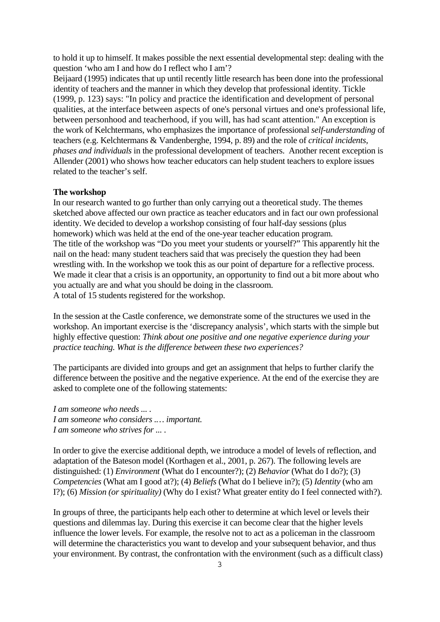to hold it up to himself. It makes possible the next essential developmental step: dealing with the question 'who am I and how do I reflect who I am'?

Beijaard (1995) indicates that up until recently little research has been done into the professional identity of teachers and the manner in which they develop that professional identity. Tickle (1999, p. 123) says: "In policy and practice the identification and development of personal qualities, at the interface between aspects of one's personal virtues and one's professional life, between personhood and teacherhood, if you will, has had scant attention." An exception is the work of Kelchtermans, who emphasizes the importance of professional *self-understanding* of teachers (e.g. Kelchtermans & Vandenberghe, 1994, p. 89) and the role of *critical incidents, phases and individuals* in the professional development of teachers. Another recent exception is Allender (2001) who shows how teacher educators can help student teachers to explore issues related to the teacher's self.

## **The workshop**

In our research wanted to go further than only carrying out a theoretical study. The themes sketched above affected our own practice as teacher educators and in fact our own professional identity. We decided to develop a workshop consisting of four half-day sessions (plus homework) which was held at the end of the one-year teacher education program. The title of the workshop was "Do you meet your students or yourself?" This apparently hit the nail on the head: many student teachers said that was precisely the question they had been wrestling with. In the workshop we took this as our point of departure for a reflective process. We made it clear that a crisis is an opportunity, an opportunity to find out a bit more about who you actually are and what you should be doing in the classroom. A total of 15 students registered for the workshop.

In the session at the Castle conference, we demonstrate some of the structures we used in the workshop. An important exercise is the 'discrepancy analysis', which starts with the simple but highly effective question: *Think about one positive and one negative experience during your practice teaching. What is the difference between these two experiences?* 

The participants are divided into groups and get an assignment that helps to further clarify the difference between the positive and the negative experience. At the end of the exercise they are asked to complete one of the following statements:

*I am someone who needs ... . I am someone who considers .… important. I am someone who strives for ... .*

In order to give the exercise additional depth, we introduce a model of levels of reflection, and adaptation of the Bateson model (Korthagen et al., 2001, p. 267). The following levels are distinguished: (1) *Environment* (What do I encounter?); (2) *Behavior* (What do I do?); (3) *Competencies* (What am I good at?); (4) *Beliefs* (What do I believe in?); (5) *Identity* (who am I?); (6) *Mission (or spirituality)* (Why do I exist? What greater entity do I feel connected with?).

In groups of three, the participants help each other to determine at which level or levels their questions and dilemmas lay. During this exercise it can become clear that the higher levels influence the lower levels. For example, the resolve not to act as a policeman in the classroom will determine the characteristics you want to develop and your subsequent behavior, and thus your environment. By contrast, the confrontation with the environment (such as a difficult class)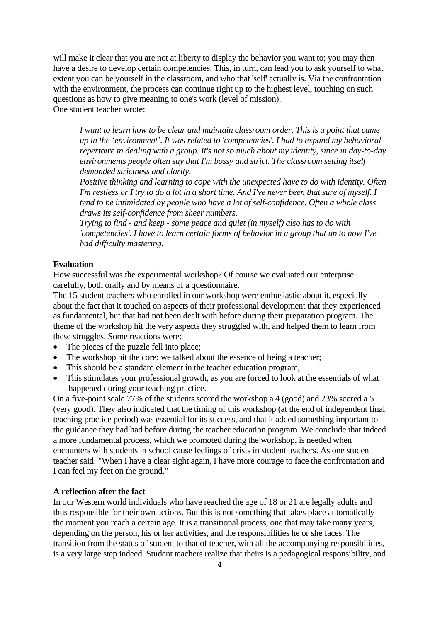will make it clear that you are not at liberty to display the behavior you want to; you may then have a desire to develop certain competencies. This, in turn, can lead you to ask yourself to what extent you can be yourself in the classroom, and who that 'self' actually is. Via the confrontation with the environment, the process can continue right up to the highest level, touching on such questions as how to give meaning to one's work (level of mission). One student teacher wrote:

 *I want to learn how to be clear and maintain classroom order. This is a point that came up in the 'environment'. It was related to 'competencies'. I had to expand my behavioral repertoire in dealing with a group. It's not so much about my identity, since in day-to-day environments people often say that I'm bossy and strict. The classroom setting itself demanded strictness and clarity.* 

 *Positive thinking and learning to cope with the unexpected have to do with identity. Often I'm restless or I try to do a lot in a short time. And I've never been that sure of myself. I tend to be intimidated by people who have a lot of self-confidence. Often a whole class draws its self-confidence from sheer numbers.* 

 *Trying to find - and keep - some peace and quiet (in myself) also has to do with 'competencies'. I have to learn certain forms of behavior in a group that up to now I've had difficulty mastering.* 

# **Evaluation**

How successful was the experimental workshop? Of course we evaluated our enterprise carefully, both orally and by means of a questionnaire.

The 15 student teachers who enrolled in our workshop were enthusiastic about it, especially about the fact that it touched on aspects of their professional development that they experienced as fundamental, but that had not been dealt with before during their preparation program. The theme of the workshop hit the very aspects they struggled with, and helped them to learn from these struggles. Some reactions were:

- The pieces of the puzzle fell into place;
- The workshop hit the core: we talked about the essence of being a teacher;
- This should be a standard element in the teacher education program;
- This stimulates your professional growth, as you are forced to look at the essentials of what happened during your teaching practice.

On a five-point scale 77% of the students scored the workshop a 4 (good) and 23% scored a 5 (very good). They also indicated that the timing of this workshop (at the end of independent final teaching practice period) was essential for its success, and that it added something important to the guidance they had had before during the teacher education program. We conclude that indeed a more fundamental process, which we promoted during the workshop, is needed when encounters with students in school cause feelings of crisis in student teachers. As one student teacher said: "When I have a clear sight again, I have more courage to face the confrontation and I can feel my feet on the ground."

## **A reflection after the fact**

In our Western world individuals who have reached the age of 18 or 21 are legally adults and thus responsible for their own actions. But this is not something that takes place automatically the moment you reach a certain age. It is a transitional process, one that may take many years, depending on the person, his or her activities, and the responsibilities he or she faces. The transition from the status of student to that of teacher, with all the accompanying responsibilities, is a very large step indeed. Student teachers realize that theirs is a pedagogical responsibility, and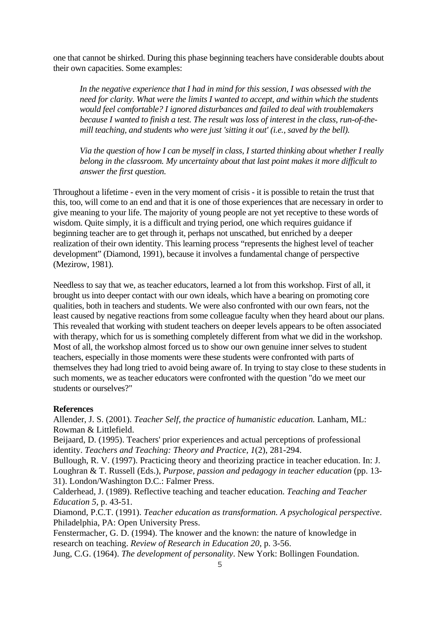one that cannot be shirked. During this phase beginning teachers have considerable doubts about their own capacities. Some examples:

 *In the negative experience that I had in mind for this session, I was obsessed with the need for clarity. What were the limits I wanted to accept, and within which the students would feel comfortable? I ignored disturbances and failed to deal with troublemakers because I wanted to finish a test. The result was loss of interest in the class, run-of-themill teaching, and students who were just 'sitting it out' (i.e., saved by the bell).*

 *Via the question of how I can be myself in class, I started thinking about whether I really belong in the classroom. My uncertainty about that last point makes it more difficult to answer the first question.* 

Throughout a lifetime - even in the very moment of crisis - it is possible to retain the trust that this, too, will come to an end and that it is one of those experiences that are necessary in order to give meaning to your life. The majority of young people are not yet receptive to these words of wisdom. Quite simply, it is a difficult and trying period, one which requires guidance if beginning teacher are to get through it, perhaps not unscathed, but enriched by a deeper realization of their own identity. This learning process "represents the highest level of teacher development" (Diamond, 1991), because it involves a fundamental change of perspective (Mezirow, 1981).

Needless to say that we, as teacher educators, learned a lot from this workshop. First of all, it brought us into deeper contact with our own ideals, which have a bearing on promoting core qualities, both in teachers and students. We were also confronted with our own fears, not the least caused by negative reactions from some colleague faculty when they heard about our plans. This revealed that working with student teachers on deeper levels appears to be often associated with therapy, which for us is something completely different from what we did in the workshop. Most of all, the workshop almost forced us to show our own genuine inner selves to student teachers, especially in those moments were these students were confronted with parts of themselves they had long tried to avoid being aware of. In trying to stay close to these students in such moments, we as teacher educators were confronted with the question "do we meet our students or ourselves?"

# **References**

Allender, J. S. (2001). *Teacher Self, the practice of humanistic education.* Lanham, ML: Rowman & Littlefield.

Beijaard, D. (1995). Teachers' prior experiences and actual perceptions of professional identity. *Teachers and Teaching: Theory and Practice, 1*(2), 281-294.

Bullough, R. V. (1997). Practicing theory and theorizing practice in teacher education. In: J. Loughran & T. Russell (Eds.), *Purpose, passion and pedagogy in teacher education* (pp. 13-31). London/Washington D.C.: Falmer Press.

Calderhead, J. (1989). Reflective teaching and teacher education. *Teaching and Teacher Education 5,* p. 43-51.

Diamond, P.C.T. (1991). *Teacher education as transformation. A psychological perspective*. Philadelphia, PA: Open University Press.

Fenstermacher, G. D. (1994). The knower and the known: the nature of knowledge in research on teaching. *Review of Research in Education 20*, p. 3-56.

Jung, C.G. (1964). *The development of personality*. New York: Bollingen Foundation.